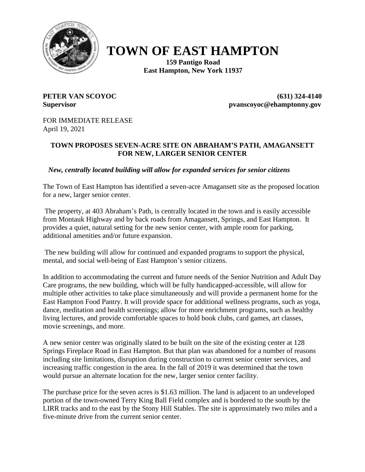

## **TOWN OF EAST HAMPTON**

**159 Pantigo Road East Hampton, New York 11937**

**PETER VAN SCOYOC (631) 324-4140 Supervisor pvanscoyoc@ehamptonny.gov**

FOR IMMEDIATE RELEASE April 19, 2021

## **TOWN PROPOSES SEVEN-ACRE SITE ON ABRAHAM'S PATH, AMAGANSETT FOR NEW, LARGER SENIOR CENTER**

 *New, centrally located building will allow for expanded services for senior citizens*

The Town of East Hampton has identified a seven-acre Amagansett site as the proposed location for a new, larger senior center.

The property, at 403 Abraham's Path, is centrally located in the town and is easily accessible from Montauk Highway and by back roads from Amagansett, Springs, and East Hampton. It provides a quiet, natural setting for the new senior center, with ample room for parking, additional amenities and/or future expansion.

The new building will allow for continued and expanded programs to support the physical, mental, and social well-being of East Hampton's senior citizens.

In addition to accommodating the current and future needs of the Senior Nutrition and Adult Day Care programs, the new building, which will be fully handicapped-accessible, will allow for multiple other activities to take place simultaneously and will provide a permanent home for the East Hampton Food Pantry. It will provide space for additional wellness programs, such as yoga, dance, meditation and health screenings; allow for more enrichment programs, such as healthy living lectures, and provide comfortable spaces to hold book clubs, card games, art classes, movie screenings, and more.

A new senior center was originally slated to be built on the site of the existing center at 128 Springs Fireplace Road in East Hampton. But that plan was abandoned for a number of reasons including site limitations, disruption during construction to current senior center services, and increasing traffic congestion in the area. In the fall of 2019 it was determined that the town would pursue an alternate location for the new, larger senior center facility.

The purchase price for the seven acres is \$1.63 million. The land is adjacent to an undeveloped portion of the town-owned Terry King Ball Field complex and is bordered to the south by the LIRR tracks and to the east by the Stony Hill Stables. The site is approximately two miles and a five-minute drive from the current senior center.